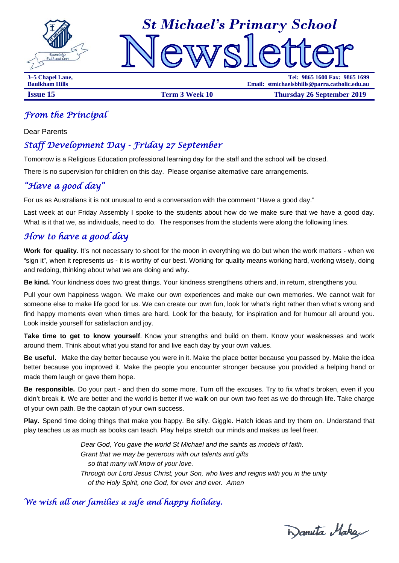



**3–5 Chapel Lane, Tel: 9865 1600 Fax: 9865 1699 Baulkham Hills Email: stmichaelsbhills@parra.catholic.edu.au**

**Issue 15 Term 3 Week 10 Thursday 26 September 2019** 

## *From the Principal*

Dear Parents

# *Staff Development Day - Friday 27 September*

Tomorrow is a Religious Education professional learning day for the staff and the school will be closed.

There is no supervision for children on this day. Please organise alternative care arrangements.

# *"Have a good day"*

For us as Australians it is not unusual to end a conversation with the comment "Have a good day."

Last week at our Friday Assembly I spoke to the students about how do we make sure that we have a good day. What is it that we, as individuals, need to do. The responses from the students were along the following lines.

# *How to have a good day*

**Work for quality**. It's not necessary to shoot for the moon in everything we do but when the work matters - when we "sign it", when it represents us - it is worthy of our best. Working for quality means working hard, working wisely, doing and redoing, thinking about what we are doing and why.

**Be kind.** Your kindness does two great things. Your kindness strengthens others and, in return, strengthens you.

Pull your own happiness wagon. We make our own experiences and make our own memories. We cannot wait for someone else to make life good for us. We can create our own fun, look for what's right rather than what's wrong and find happy moments even when times are hard. Look for the beauty, for inspiration and for humour all around you. Look inside yourself for satisfaction and joy.

**Take time to get to know yourself**. Know your strengths and build on them. Know your weaknesses and work around them. Think about what you stand for and live each day by your own values.

**Be useful.** Make the day better because you were in it. Make the place better because you passed by. Make the idea better because you improved it. Make the people you encounter stronger because you provided a helping hand or made them laugh or gave them hope.

**Be responsible.** Do your part - and then do some more. Turn off the excuses. Try to fix what's broken, even if you didn't break it. We are better and the world is better if we walk on our own two feet as we do through life. Take charge of your own path. Be the captain of your own success.

**Play.** Spend time doing things that make you happy. Be silly. Giggle. Hatch ideas and try them on. Understand that play teaches us as much as books can teach. Play helps stretch our minds and makes us feel freer.

> *Dear God, You gave the world St Michael and the saints as models of faith. Grant that we may be generous with our talents and gifts so that many will know of your love. Through our Lord Jesus Christ, your Son, who lives and reigns with you in the unity of the Holy Spirit, one God, for ever and ever. Amen*

# *We wish all our families a safe and happy holiday.*

Wanuta Maka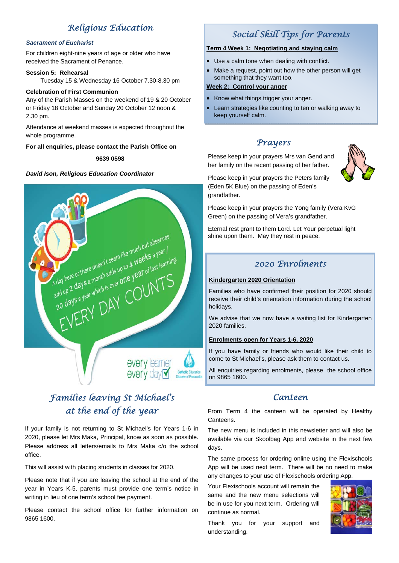# *Religious Education*

### *Sacrament of Eucharist*

For children eight-nine years of age or older who have received the Sacrament of Penance.

### **Session 5: Rehearsal**

Tuesday 15 & Wednesday 16 October 7.30-8.30 pm

### **Celebration of First Communion**

Any of the Parish Masses on the weekend of 19 & 20 October or Friday 18 October and Sunday 20 October 12 noon & 2.30 pm.

Attendance at weekend masses is expected throughout the whole programme.

### **For all enquiries, please contact the Parish Office on**

**9639 0598** 

### *David Ison, Religious Education Coordinator*



# *Families leaving St Michael's at the end of the year*

If your family is not returning to St Michael's for Years 1-6 in 2020, please let Mrs Maka, Principal, know as soon as possible. Please address all letters/emails to Mrs Maka c/o the school office.

This will assist with placing students in classes for 2020.

Please note that if you are leaving the school at the end of the year in Years K-5, parents must provide one term's notice in writing in lieu of one term's school fee payment.

Please contact the school office for further information on 9865 1600.

# *Social Skill Tips for Parents*

### **Term 4 Week 1: Negotiating and staying calm**

- Use a calm tone when dealing with conflict.
- Make a request, point out how the other person will get something that they want too.

### **Week 2: Control your anger**

- Know what things trigger your anger.
- Learn strategies like counting to ten or walking away to keep yourself calm.

## *Prayers*

Please keep in your prayers Mrs van Gend and her family on the recent passing of her father.



Please keep in your prayers the Peters family (Eden 5K Blue) on the passing of Eden's grandfather.

Please keep in your prayers the Yong family (Vera KvG Green) on the passing of Vera's grandfather.

Eternal rest grant to them Lord. Let Your perpetual light shine upon them. May they rest in peace.

# *2020 Enrolments*

### **Kindergarten 2020 Orientation**

Families who have confirmed their position for 2020 should receive their child's orientation information during the school holidays.

We advise that we now have a waiting list for Kindergarten 2020 families.

### **Enrolments open for Years 1-6, 2020**

If you have family or friends who would like their child to come to St Michael's, please ask them to contact us.

All enquiries regarding enrolments, please the school office on 9865 1600.

### *Canteen*

From Term 4 the canteen will be operated by Healthy Canteens.

The new menu is included in this newsletter and will also be available via our Skoolbag App and website in the next few days.

The same process for ordering online using the Flexischools App will be used next term. There will be no need to make any changes to your use of Flexischools ordering App.

Your Flexischools account will remain the same and the new menu selections will be in use for you next term. Ordering will continue as normal.



Thank you for your support and understanding.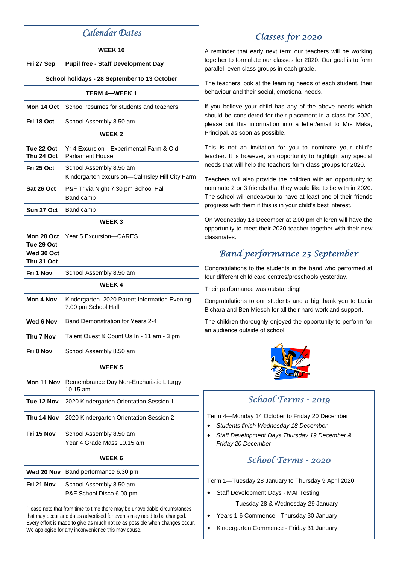|                                                                                                                                                                                                                                                                                          | <b>WEEK10</b>                                                             |  |  |  |  |
|------------------------------------------------------------------------------------------------------------------------------------------------------------------------------------------------------------------------------------------------------------------------------------------|---------------------------------------------------------------------------|--|--|--|--|
| Fri 27 Sep                                                                                                                                                                                                                                                                               | <b>Pupil free - Staff Development Day</b>                                 |  |  |  |  |
| School holidays - 28 September to 13 October                                                                                                                                                                                                                                             |                                                                           |  |  |  |  |
| <b>TERM 4-WEEK 1</b>                                                                                                                                                                                                                                                                     |                                                                           |  |  |  |  |
| Mon 14 Oct                                                                                                                                                                                                                                                                               | School resumes for students and teachers                                  |  |  |  |  |
| Fri 18 Oct                                                                                                                                                                                                                                                                               | School Assembly 8.50 am                                                   |  |  |  |  |
| <b>WEEK2</b>                                                                                                                                                                                                                                                                             |                                                                           |  |  |  |  |
| Tue 22 Oct<br>Thu 24 Oct                                                                                                                                                                                                                                                                 | Yr 4 Excursion-Experimental Farm & Old<br><b>Parliament House</b>         |  |  |  |  |
| Fri 25 Oct                                                                                                                                                                                                                                                                               | School Assembly 8.50 am<br>Kindergarten excursion-Calmsley Hill City Farm |  |  |  |  |
| Sat 26 Oct                                                                                                                                                                                                                                                                               | P&F Trivia Night 7.30 pm School Hall<br>Band camp                         |  |  |  |  |
| Sun 27 Oct                                                                                                                                                                                                                                                                               | Band camp                                                                 |  |  |  |  |
| <b>WEEK3</b>                                                                                                                                                                                                                                                                             |                                                                           |  |  |  |  |
| Mon 28 Oct<br>Tue 29 Oct<br>Wed 30 Oct<br>Thu 31 Oct                                                                                                                                                                                                                                     | Year 5 Excursion-CARES                                                    |  |  |  |  |
| Fri 1 Nov                                                                                                                                                                                                                                                                                | School Assembly 8.50 am                                                   |  |  |  |  |
|                                                                                                                                                                                                                                                                                          | <b>WEEK4</b>                                                              |  |  |  |  |
| Mon 4 Nov                                                                                                                                                                                                                                                                                | Kindergarten 2020 Parent Information Evening<br>7.00 pm School Hall       |  |  |  |  |
| Wed 6 Nov                                                                                                                                                                                                                                                                                | Band Demonstration for Years 2-4                                          |  |  |  |  |
| Thu 7 Nov                                                                                                                                                                                                                                                                                | Talent Quest & Count Us In - 11 am - 3 pm                                 |  |  |  |  |
| Fri 8 Nov                                                                                                                                                                                                                                                                                | School Assembly 8.50 am                                                   |  |  |  |  |
|                                                                                                                                                                                                                                                                                          | WEEK 5                                                                    |  |  |  |  |
|                                                                                                                                                                                                                                                                                          | Mon 11 Nov Remembrance Day Non-Eucharistic Liturgy<br>10.15 am            |  |  |  |  |
| Tue 12 Nov                                                                                                                                                                                                                                                                               | 2020 Kindergarten Orientation Session 1                                   |  |  |  |  |
| Thu 14 Nov                                                                                                                                                                                                                                                                               | 2020 Kindergarten Orientation Session 2                                   |  |  |  |  |
| Fri 15 Nov                                                                                                                                                                                                                                                                               | School Assembly 8.50 am<br>Year 4 Grade Mass 10.15 am                     |  |  |  |  |
| <b>WEEK 6</b>                                                                                                                                                                                                                                                                            |                                                                           |  |  |  |  |
| Wed 20 Nov                                                                                                                                                                                                                                                                               | Band performance 6.30 pm                                                  |  |  |  |  |
| Fri 21 Nov                                                                                                                                                                                                                                                                               | School Assembly 8.50 am<br>P&F School Disco 6.00 pm                       |  |  |  |  |
| Please note that from time to time there may be unavoidable circumstances<br>that may occur and dates advertised for events may need to be changed.<br>Every effort is made to give as much notice as possible when changes occur.<br>We apologise for any inconvenience this may cause. |                                                                           |  |  |  |  |

# *Classes for 2020*

A reminder that early next term our teachers will be working together to formulate our classes for 2020. Our goal is to form parallel, even class groups in each grade.

The teachers look at the learning needs of each student, their behaviour and their social, emotional needs.

If you believe your child has any of the above needs which should be considered for their placement in a class for 2020, please put this information into a letter/email to Mrs Maka, Principal, as soon as possible.

This is not an invitation for you to nominate your child's teacher. It is however, an opportunity to highlight any special needs that will help the teachers form class groups for 2020.

Teachers will also provide the children with an opportunity to nominate 2 or 3 friends that they would like to be with in 2020. The school will endeavour to have at least one of their friends progress with them if this is in your child's best interest.

On Wednesday 18 December at 2.00 pm children will have the opportunity to meet their 2020 teacher together with their new classmates.

# *Band performance 25 September*

Congratulations to the students in the band who performed at four different child care centres/preschools yesterday.

Their performance was outstanding!

Congratulations to our students and a big thank you to Lucia Bichara and Ben Miesch for all their hard work and support.

The children thoroughly enjoyed the opportunity to perform for an audience outside of school.



# *School Terms - 2019*

Term 4—Monday 14 October to Friday 20 December

- *Students finish Wednesday 18 December*
- *Staff Development Days Thursday 19 December & Friday 20 December*

# *School Terms - 2020*

Term 1—Tuesday 28 January to Thursday 9 April 2020

• Staff Development Days - MAI Testing:

Tuesday 28 & Wednesday 29 January

- Years 1-6 Commence Thursday 30 January
- Kindergarten Commence Friday 31 January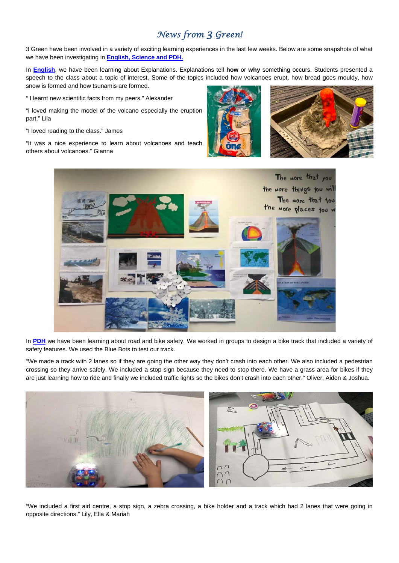# *News from 3 Green!*

3 Green have been involved in a variety of exciting learning experiences in the last few weeks. Below are some snapshots of what we have been investigating in **English, Science and PDH.** 

In **English**, we have been learning about Explanations. Explanations tell **how** or **why** something occurs. Students presented a speech to the class about a topic of interest. Some of the topics included how volcanoes erupt, how bread goes mouldy, how snow is formed and how tsunamis are formed.

" I learnt new scientific facts from my peers." Alexander

"I loved making the model of the volcano especially the eruption part." Lila

"I loved reading to the class." James

"It was a nice experience to learn about volcanoes and teach others about volcanoes." Gianna





In **PDH** we have been learning about road and bike safety. We worked in groups to design a bike track that included a variety of safety features. We used the Blue Bots to test our track.

"We made a track with 2 lanes so if they are going the other way they don't crash into each other. We also included a pedestrian crossing so they arrive safely. We included a stop sign because they need to stop there. We have a grass area for bikes if they are just learning how to ride and finally we included traffic lights so the bikes don't crash into each other." Oliver, Aiden & Joshua.



"We included a first aid centre, a stop sign, a zebra crossing, a bike holder and a track which had 2 lanes that were going in opposite directions." Lily, Ella & Mariah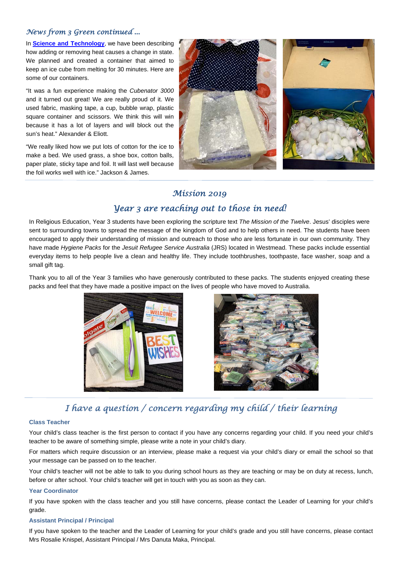### *News from 3 Green continued ...*

In **Science and Technology**, we have been describing how adding or removing heat causes a change in state. We planned and created a container that aimed to keep an ice cube from melting for 30 minutes. Here are some of our containers.

"It was a fun experience making the *Cubenator 3000* and it turned out great! We are really proud of it. We used fabric, masking tape, a cup, bubble wrap, plastic square container and scissors. We think this will win because it has a lot of layers and will block out the sun's heat." Alexander & Eliott.

"We really liked how we put lots of cotton for the ice to make a bed. We used grass, a shoe box, cotton balls, paper plate, sticky tape and foil. It will last well because the foil works well with ice." Jackson & James.



### *Mission 2019*

### *Year 3 are reaching out to those in need!*

In Religious Education, Year 3 students have been exploring the scripture text *The Mission of the Twelve*. Jesus' disciples were sent to surrounding towns to spread the message of the kingdom of God and to help others in need. The students have been encouraged to apply their understanding of mission and outreach to those who are less fortunate in our own community. They have made *Hygiene Packs* for the *Jesuit Refugee Service Australia* (JRS) located in Westmead. These packs include essential everyday items to help people live a clean and healthy life. They include toothbrushes, toothpaste, face washer, soap and a small gift tag.

Thank you to all of the Year 3 families who have generously contributed to these packs. The students enjoyed creating these packs and feel that they have made a positive impact on the lives of people who have moved to Australia.





# *I have a question / concern regarding my child / their learning*

### **Class Teacher**

Your child's class teacher is the first person to contact if you have any concerns regarding your child. If you need your child's teacher to be aware of something simple, please write a note in your child's diary.

For matters which require discussion or an interview, please make a request via your child's diary or email the school so that your message can be passed on to the teacher.

Your child's teacher will not be able to talk to you during school hours as they are teaching or may be on duty at recess, lunch, before or after school. Your child's teacher will get in touch with you as soon as they can.

#### **Year Coordinator**

If you have spoken with the class teacher and you still have concerns, please contact the Leader of Learning for your child's grade.

#### **Assistant Principal / Principal**

If you have spoken to the teacher and the Leader of Learning for your child's grade and you still have concerns, please contact Mrs Rosalie Knispel, Assistant Principal / Mrs Danuta Maka, Principal.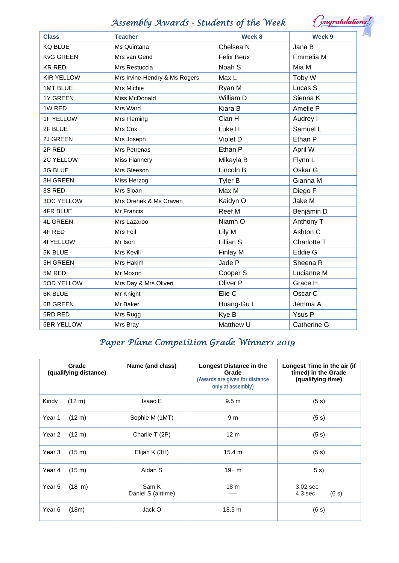# *Assembly Awards - Students of the Week*

| <b>Teacher</b><br><b>Class</b>                     | Week 8            | Week 9              |
|----------------------------------------------------|-------------------|---------------------|
| <b>KQ BLUE</b><br>Ms Quintana                      | Chelsea N         | Jana B              |
| <b>KvG GREEN</b><br>Mrs van Gend                   | <b>Felix Beux</b> | Emmelia M           |
| <b>KR RED</b><br>Mrs Restuccia                     | Noah S            | Mia M               |
| <b>KIR YELLOW</b><br>Mrs Irvine-Hendry & Ms Rogers | Max L             | Toby W              |
| <b>1MT BLUE</b><br>Mrs Michie                      | Ryan M            | Lucas S             |
| <b>1Y GREEN</b><br>Miss McDonald                   | William D         | Sienna K            |
| 1W RED<br>Mrs Ward                                 | Kiara B           | Amelie P            |
| <b>1F YELLOW</b><br>Mrs Fleming                    | Cian H            | Audrey I            |
| 2F BLUE<br>Mrs Cox                                 | Luke H            | Samuel L            |
| 2J GREEN<br>Mrs Joseph                             | Violet D          | Ethan P             |
| 2P RED<br>Mrs Petrenas                             | Ethan P           | April W             |
| 2C YELLOW<br>Miss Flannery                         | Mikayla B         | Flynn L             |
| Mrs Gleeson<br>3G BLUE                             | Lincoln B         | Oskar G             |
| <b>3H GREEN</b><br>Miss Herzog                     | <b>Tyler B</b>    | Gianna M            |
| Mrs Sloan<br>3S RED                                | Max M             | Diego F             |
| <b>3OC YELLOW</b><br>Mrs Orehek & Ms Craven        | Kaidyn O          | Jake M              |
| 4FR BLUE<br>Mr Francis                             | Reef M            | Benjamin D          |
| 4L GREEN<br>Mrs Lazaroo                            | Niamh O           | Anthony T           |
| 4F RED<br>Mrs Feil                                 | Lily M            | Ashton C            |
| 41 YELLOW<br>Mr Ison                               | Lillian S         | Charlotte T         |
| Mrs Kevill<br>5K BLUE                              | Finlay M          | Eddie G             |
| <b>5H GREEN</b><br>Mrs Hakim                       | Jade P            | Sheena <sub>R</sub> |
| 5M RED<br>Mr Moxon                                 | Cooper S          | Lucianne M          |
| 5OD YELLOW<br>Mrs Day & Mrs Oliveri                | Oliver P          | Grace H             |
| Mr Knight<br>6K BLUE                               | Elie C            | Oscar C             |
| 6B GREEN<br>Mr Baker                               | Huang-Gu L        | Jemma A             |
| 6RD RED<br>Mrs Rugg                                | Kye B             | Ysus P              |
| <b>6BR YELLOW</b><br>Mrs Bray                      | Matthew U         | Catherine G         |

# *Paper Plane Competition Grade Winners 2019*

|        | Grade<br>(qualifying distance) | Name (and class)            | Longest Distance in the<br>Grade<br>(Awards are given for distance<br>only at assembly) | Longest Time in the air (if<br>timed) in the Grade<br>(qualifying time) |
|--------|--------------------------------|-----------------------------|-----------------------------------------------------------------------------------------|-------------------------------------------------------------------------|
| Kindy  | $(12 \text{ m})$               | <b>Isaac E</b>              | 9.5 <sub>m</sub>                                                                        | (5 s)                                                                   |
| Year 1 | $(12 \text{ m})$               | Sophie M (1MT)              | 9 <sub>m</sub>                                                                          | (5 s)                                                                   |
| Year 2 | $(12 \text{ m})$               | Charlie T (2P)              | 12 <sub>m</sub>                                                                         | (5 s)                                                                   |
| Year 3 | $(15 \text{ m})$               | Elijah K (3H)               | 15.4 m                                                                                  | (5 s)                                                                   |
| Year 4 | (15 m)                         | Aidan S                     | $19 + m$                                                                                | 5s)                                                                     |
| Year 5 | $(18 \; \text{m})$             | Sam K<br>Daniel S (airtime) | 18 <sub>m</sub><br>----                                                                 | $3.02$ sec<br>(6 s)<br>4.3 <sub>sec</sub>                               |
| Year 6 | (18m)                          | Jack O                      | 18.5 <sub>m</sub>                                                                       | (6 s)                                                                   |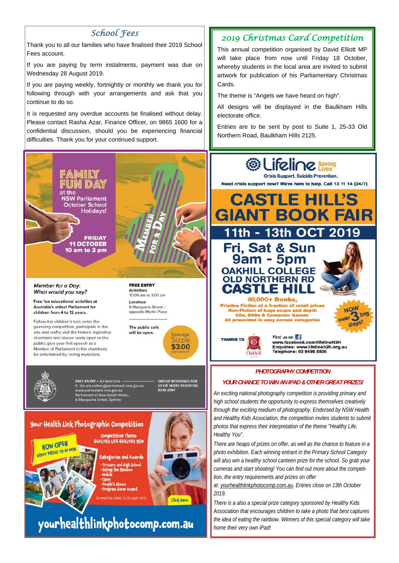## *School Fees*

Thank you to all our families who have finalised their 2019 School Fees account.

If you are paying by term instalments, payment was due on Wednesday 28 August 2019.

If you are paying weekly, fortnightly or monthly we thank you for following through with your arrangements and ask that you continue to do so.

It is requested any overdue accounts be finalised without delay. Please contact Rasha Azar, Finance Officer, on 9865 1600 for a confidential discussion, should you be experiencing financial difficulties. Thank you for your continued support.



#### Member for a Day: What would you say?

Free fun educational activities at **Australia's oldest Parliament for** children from 4 to 12 years.

Follow the children's trail: enter the guessing competition, participate in the arts and crafts; visit the historic legislative chambers and places rarely open to the public; give your first speech as a Member of Parliament in the chambers: be entertained by roving musicians.

**FREE ENTRY Activities** 10.00 am to 3.00 pm

Location 6 Macquarie Street opposite Martin Place



Click here



**GROUP BOOKINGS FOR<br>10 OR MORE ESSENTIAL** FREE ENTRY . All Welcome **FREE ENTRY FAIL WEIGHTHERT**<br>
E: dps.education@parliament.nsw.gov.au<br>
www.parliament.nsw.gov.au<br>
Parliament of New South Wales,<br>
6 Macquarie Street, Sydney 9230.2047

Your Health Link Photographic Competition



**HEALTHY LIFE HEALTHY YOU Categories and Awards** -<br>Primary and High School<br>- Eating the Rainbow<br>- Mobile

**Competition Theme** 

• Open<br>• People's Choice · Program Cover Award mpetition closes 13 October 2019

yourhealthlinkphotocomp.com.au

# *2019 Christmas Card Competition*

This annual competition organised by David Elliott MP will take place from now until Friday 18 October, whereby students in the local area are invited to submit artwork for publication of his Parliamentary Christmas Cards.

The theme is "Angels we have heard on high".

All designs will be displayed in the Baulkham Hills electorate office.

Entries are to be sent by post to Suite 1, 25-33 Old Northern Road, Baulkham Hills 2125.



### *PHOTOGRAPHY COMPETITION*

### *YOUR CHANCE TO WIN AN IPAD & OTHER GREAT PRIZES!*

*An exciting national photography competition is providing primary and high school students the opportunity to express themselves creatively through the exciting medium of photography. Endorsed by NSW Health and Healthy Kids Association, the competition invites students to submit photos that express their interpretation of the theme "Healthy Life, Healthy You".* 

*There are heaps of prizes on offer, as well as the chance to feature in a photo exhibition. Each winning entrant in the Primary School Category will also win a healthy school canteen prize for the school. So grab your cameras and start shooting! You can find out more about the competition, the entry requirements and prizes on offer* 

*at: yourhealthlinkphotocomp.com.au. Entries close on 13th October 2019.* 

*There is a also a special prize category sponsored by Healthy Kids Association that encourages children to take a photo that best captures the idea of eating the rainbow. Winners of this special category will take home their very own iPad!*